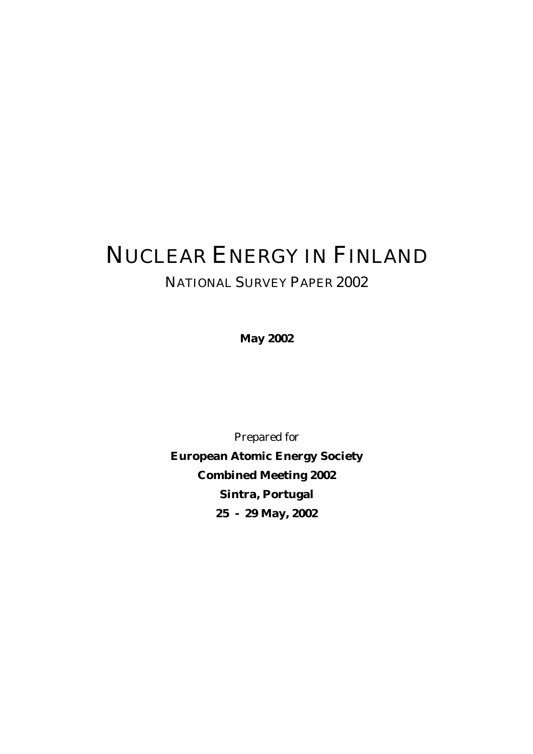# NUCLEAR ENERGY IN FINLAND NATIONAL SURVEY PAPER 2002

**May 2002** 

Prepared for **European Atomic Energy Society Combined Meeting 2002 Sintra, Portugal 25 - 29 May, 2002**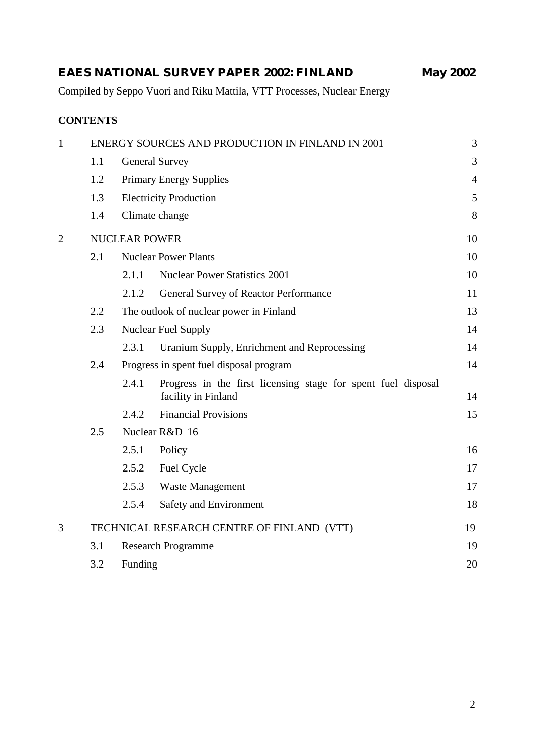|                |                 |                      | Compiled by Seppo Vuori and Riku Mattila, VTT Processes, Nuclear Energy              |                |
|----------------|-----------------|----------------------|--------------------------------------------------------------------------------------|----------------|
|                | <b>CONTENTS</b> |                      |                                                                                      |                |
| 1              |                 |                      | ENERGY SOURCES AND PRODUCTION IN FINLAND IN 2001                                     | 3              |
|                | 1.1             |                      | <b>General Survey</b>                                                                | 3              |
|                | 1.2             |                      | <b>Primary Energy Supplies</b>                                                       | $\overline{4}$ |
|                | 1.3             |                      | <b>Electricity Production</b>                                                        | 5              |
|                | 1.4             |                      | Climate change                                                                       | 8              |
| $\overline{2}$ |                 | <b>NUCLEAR POWER</b> |                                                                                      | 10             |
|                | 2.1             |                      | <b>Nuclear Power Plants</b>                                                          | 10             |
|                |                 | 2.1.1                | <b>Nuclear Power Statistics 2001</b>                                                 | 10             |
|                |                 | 2.1.2                | <b>General Survey of Reactor Performance</b>                                         | 11             |
|                | $2.2\,$         |                      | The outlook of nuclear power in Finland                                              | 13             |
|                | 2.3             |                      | <b>Nuclear Fuel Supply</b>                                                           | 14             |
|                |                 | 2.3.1                | Uranium Supply, Enrichment and Reprocessing                                          | 14             |
|                | 2.4             |                      | Progress in spent fuel disposal program                                              | 14             |
|                |                 | 2.4.1                | Progress in the first licensing stage for spent fuel disposal<br>facility in Finland | 14             |
|                |                 | 2.4.2                | <b>Financial Provisions</b>                                                          | 15             |
|                | 2.5             |                      | Nuclear R&D 16                                                                       |                |
|                |                 | 2.5.1                | Policy                                                                               | 16             |
|                |                 | 2.5.2                | Fuel Cycle                                                                           | 17             |
|                |                 | 2.5.3                | <b>Waste Management</b>                                                              | 17             |
|                |                 | 2.5.4                | <b>Safety and Environment</b>                                                        | 18             |
| 3              |                 |                      | TECHNICAL RESEARCH CENTRE OF FINLAND (VTT)                                           | 19             |
|                | 3.1             |                      | <b>Research Programme</b>                                                            | 19             |
|                | 3.2             | Funding              |                                                                                      | 20             |

**EAES NATIONAL SURVEY PAPER 2002: FINLAND May 2002**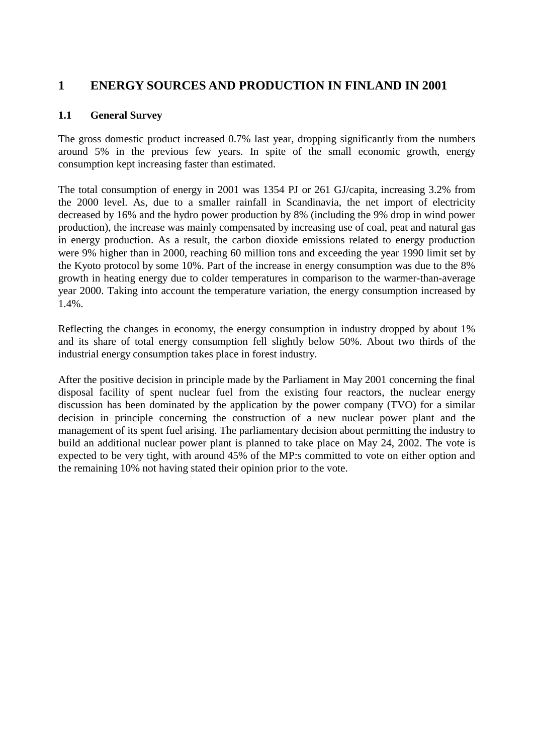# **1 ENERGY SOURCES AND PRODUCTION IN FINLAND IN 2001**

#### **1.1 General Survey**

The gross domestic product increased 0.7% last year, dropping significantly from the numbers around 5% in the previous few years. In spite of the small economic growth, energy consumption kept increasing faster than estimated.

The total consumption of energy in 2001 was 1354 PJ or 261 GJ/capita, increasing 3.2% from the 2000 level. As, due to a smaller rainfall in Scandinavia, the net import of electricity decreased by 16% and the hydro power production by 8% (including the 9% drop in wind power production), the increase was mainly compensated by increasing use of coal, peat and natural gas in energy production. As a result, the carbon dioxide emissions related to energy production were 9% higher than in 2000, reaching 60 million tons and exceeding the year 1990 limit set by the Kyoto protocol by some 10%. Part of the increase in energy consumption was due to the 8% growth in heating energy due to colder temperatures in comparison to the warmer-than-average year 2000. Taking into account the temperature variation, the energy consumption increased by 1.4%.

Reflecting the changes in economy, the energy consumption in industry dropped by about 1% and its share of total energy consumption fell slightly below 50%. About two thirds of the industrial energy consumption takes place in forest industry.

After the positive decision in principle made by the Parliament in May 2001 concerning the final disposal facility of spent nuclear fuel from the existing four reactors, the nuclear energy discussion has been dominated by the application by the power company (TVO) for a similar decision in principle concerning the construction of a new nuclear power plant and the management of its spent fuel arising. The parliamentary decision about permitting the industry to build an additional nuclear power plant is planned to take place on May 24, 2002. The vote is expected to be very tight, with around 45% of the MP:s committed to vote on either option and the remaining 10% not having stated their opinion prior to the vote.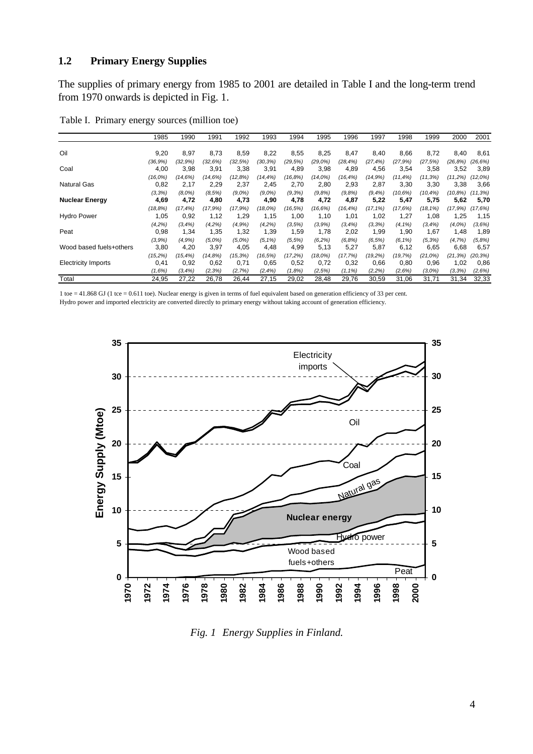#### **1.2 Primary Energy Supplies**

The supplies of primary energy from 1985 to 2001 are detailed in Table I and the long-term trend from 1970 onwards is depicted in Fig. 1.

|                            | 1985        | 1990        | 1991      | 1992      | 1993        | 1994    | 1995       | 1996       | 1997        | 1998        | 1999        | 2000       | 2001        |
|----------------------------|-------------|-------------|-----------|-----------|-------------|---------|------------|------------|-------------|-------------|-------------|------------|-------------|
| Oil                        | 9,20        | 8,97        | 8,73      | 8,59      | 8,22        | 8,55    | 8,25       | 8,47       | 8,40        | 8,66        | 8,72        | 8,40       | 8,61        |
| Coal                       | $(36, 9\%)$ | (32.9%)     | (32.6%)   | (32.5%)   | (30, 3%)    | (29.5%) | (29.0%)    | (28, 4%)   | $(27, 4\%)$ | (27.9%)     | (27.5%)     | (26.8%)    | (26, 6%)    |
|                            | 4,00        | 3,98        | 3,91      | 3,38      | 3,91        | 4,89    | 3,98       | 4,89       | 4,56        | 3,54        | 3,58        | 3,52       | 3,89        |
| <b>Natural Gas</b>         | $(16.0\%)$  | (14,6%)     | (14.6%)   | (12.8%)   | $(14, 4\%)$ | (16.8%) | $(14.0\%)$ | (16, 4%)   | (14,9%)     | $(11, 4\%)$ | (11.3%)     | (11.2%)    | (12,0%)     |
|                            | 0,82        | 2,17        | 2,29      | 2,37      | 2,45        | 2,70    | 2,80       | 2,93       | 2,87        | 3,30        | 3,30        | 3,38       | 3,66        |
| <b>Nuclear Energy</b>      | (3,3%)      | $(8.0\%)$   | (8.5%)    | $(9.0\%)$ | $(9.0\%)$   | (9,3%)  | (9,8%)     | (9.8%)     | $(9, 4\%)$  | (10.6%)     | $(10.4\%)$  | $(10.8\%)$ | $(11, 3\%)$ |
|                            | 4,69        | 4,72        | 4,80      | 4,73      | 4,90        | 4,78    | 4,72       | 4,87       | 5,22        | 5,47        | 5,75        | 5,62       | 5,70        |
|                            | (18.8%)     | $(17, 4\%)$ | (17.9%)   | (17.9%)   | $(18.0\%)$  | (16.5%) | (16, 6%)   | (16, 4%)   | $(17, 1\%)$ | (17.6%)     | $(18, 1\%)$ | (17.9%)    | (17,6%)     |
| <b>Hydro Power</b>         | 1,05        | 0,92        | 1,12      | 1,29      | 1,15        | 1,00    | 1,10       | 1,01       | 1,02        | 1,27        | 1,08        | 1,25       | 1,15        |
|                            | $(4.2\%)$   | $(3, 4\%)$  | $(4.2\%)$ | (4.9%)    | (4.2%)      | (3.5%)  | (3.9%)     | $(3, 4\%)$ | (3,3%)      | $(4.1\%)$   | $(3, 4\%)$  | (4,0%      | (3,6%)      |
| Peat                       | 0,98        | 1,34        | 1,35      | 1,32      | 1,39        | 1,59    | 1,78       | 2,02       | 1,99        | 1,90        | 1,67        | 1,48       | 1,89        |
| Wood based fuels+others    | (3.9%)      | (4.9%       | $(5.0\%)$ | $(5,0\%)$ | $(5, 1\%)$  | (5, 5%) | (6,2%)     | (6,8%)     | (6, 5%)     | $(6, 1\%)$  | $(5, 3\%)$  | (4,7%)     | (5,8%)      |
|                            | 3,80        | 4,20        | 3,97      | 4,05      | 4,48        | 4,99    | 5,13       | 5,27       | 5,87        | 6,12        | 6,65        | 6,68       | 6,57        |
| <b>Electricity Imports</b> | (15.2%)     | (15,4%)     | (14.8%)   | (15, 3%)  | (16, 5%)    | (17,2%) | $(18.0\%)$ | (17, 7%)   | (19.2%)     | (19,7%)     | $(21.0\%)$  | (21, 3%)   | (20, 3%)    |
|                            | 0,41        | 0,92        | 0,62      | 0,71      | 0,65        | 0,52    | 0,72       | 0,32       | 0,66        | 0,80        | 0,96        | 1,02       | 0,86        |
|                            | (1,6%)      | $(3, 4\%)$  | (2,3%)    | (2,7%)    | $(2, 4\%)$  | (1,8%)  | (2,5%)     | $(1, 1\%)$ | (2,2%)      | (2,6%)      | (3,0%)      | (3,3%)     | (2,6%)      |
| Total                      | 24,95       | 27.22       | 26.78     | 26.44     | 27,15       | 29,02   | 28.48      | 29,76      | 30,59       | 31,06       | 31.71       | 31.34      | 32,33       |

Table I. Primary energy sources (million toe)

1 toe = 41.868 GJ (1 tce = 0.611 toe). Nuclear energy is given in terms of fuel equivalent based on generation efficiency of 33 per cent. Hydro power and imported electricity are converted directly to primary energy without taking account of generation efficiency.



*Fig. 1 Energy Supplies in Finland.*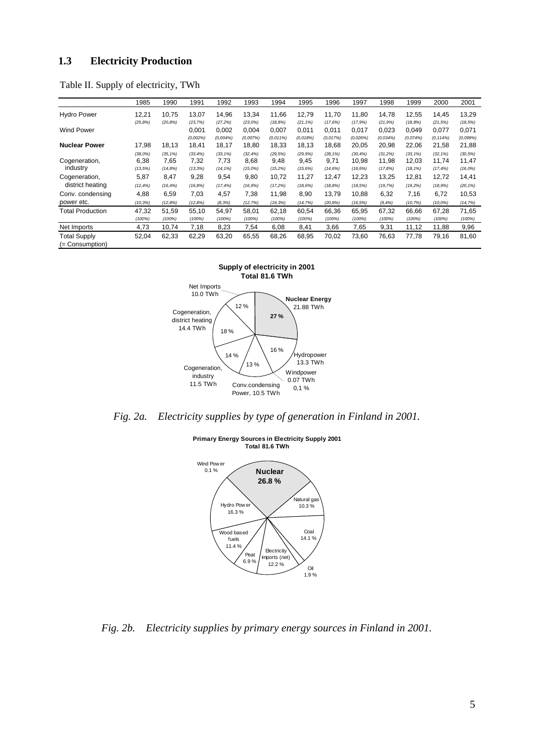#### **1.3 Electricity Production**

|  |  |  | Table II. Supply of electricity, TWh |  |
|--|--|--|--------------------------------------|--|
|--|--|--|--------------------------------------|--|

|                                        | 1985                           | 1990                           | 1991                          | 1992                               | 1993                           | 1994                        | 1995                      | 1996                           | 1997                          | 1998                        | 1999                                | 2000                                | 2001                         |
|----------------------------------------|--------------------------------|--------------------------------|-------------------------------|------------------------------------|--------------------------------|-----------------------------|---------------------------|--------------------------------|-------------------------------|-----------------------------|-------------------------------------|-------------------------------------|------------------------------|
| <b>Hydro Power</b>                     | 12,21<br>$(25, 8\%)$           | 10,75<br>$(20, 8\%)$           | 13,07<br>(23,7%)              | 14,96<br>(27,2%)                   | 13,34<br>(23,0%)               | 11,66<br>(18, 8%)           | 12,79<br>$(21, 1\%)$      | 11.70<br>(17.6%)               | 11,80<br>(17,9%)              | 14,78<br>(21, 9%)           | 12,55<br>(18, 8%)                   | 14,45<br>(21, 5%)                   | 13,29<br>(18, 5%)            |
| <b>Wind Power</b>                      |                                |                                | 0.001<br>(0.002%              | 0,002<br>(0.004%)                  | 0,004<br>(0,007%)              | 0,007<br>(0.011%)           | 0,011<br>(0.018%)         | 0,011<br>(0.017%)              | 0,017<br>(0.026%)             | 0,023<br>(0.034%)           | 0,049<br>(0.074%)                   | 0,077<br>(0.114%)                   | 0,071<br>(0.099%)            |
| <b>Nuclear Power</b>                   | 17,98                          | 18,13                          | 18,41                         | 18,17                              | 18,80                          | 18,33                       | 18.13                     | 18,68                          | 20,05                         | 20,98                       | 22,06                               | 21,58                               | 21,88                        |
| Cogeneration,<br>industry              | $(38.0\%)$<br>6,38<br>(13, 5%) | $(35, 1\%)$<br>7,65<br>(14.8%) | (33, 4% )<br>7,32<br>(13, 3%) | $(33, 1\%)$<br>7,73<br>$(14, 1\%)$ | (32, 4%)<br>8,68<br>$(15.0\%)$ | (29.5%)<br>9,48<br>(15, 2%) | (29.9%<br>9,45<br>(15.6%) | $(28, 1\%)$<br>9,71<br>(14.6%) | (30, 4%)<br>10,98<br>(16, 6%) | (31,2%)<br>11,98<br>(17.8%) | $(33, 1\%)$<br>12,03<br>$(18, 1\%)$ | $(32, 1\%)$<br>11,74<br>$(17, 4\%)$ | (30, 5%)<br>11,47<br>(16,0%) |
| Cogeneration,<br>district heating      | 5,87<br>$(12, 4\%)$            | 8,47<br>(16.4%)                | 9,28<br>$(16, 8\%)$           | 9,54<br>$(17, 4\%)$                | 9,80<br>(16.9%)                | 10,72<br>(17,2%)            | 11,27<br>(18, 6%)         | 12,47<br>(18.8%)               | 12,23<br>(18,5%)              | 13,25<br>(19, 7%)           | 12,81<br>(19, 2%)                   | 12,72<br>(18,9%)                    | 14,41<br>$(20, 1\%)$         |
| Conv. condensing<br>power etc.         | 4,88<br>(10, 3%)               | 6,59<br>(12.8%)                | 7,03<br>$(12, 8\%)$           | 4,57<br>$(8, 3\%)$                 | 7,38<br>(12.7%)                | 11,98<br>(19, 3%)           | 8,90<br>(14, 7%)          | 13,79<br>(20, 8%)              | 10,88<br>(16, 5%)             | 6,32<br>$(9, 4\%)$          | 7,16<br>(10, 7%)                    | 6,72<br>$(10,0\%)$                  | 10,53<br>(14, 7%)            |
| <b>Total Production</b>                | 47,32<br>(100%)                | 51,59<br>(100%)                | 55,10<br>(100%)               | 54,97<br>(100%)                    | 58,01<br>(100%)                | 62,18<br>(100%)             | 60,54<br>(100%)           | 66,36<br>(100%)                | 65,95<br>(100%)               | 67,32<br>(100%)             | 66,66<br>(100%)                     | 67,28<br>(100%)                     | 71,65<br>(100%)              |
| Net Imports                            | 4,73                           | 10,74                          | 7,18                          | 8,23                               | 7,54                           | 6,08                        | 8,41                      | 3,66                           | 7,65                          | 9,31                        | 11,12                               | 11,88                               | 9,96                         |
| <b>Total Supply</b><br>(= Consumption) | 52,04                          | 62,33                          | 62,29                         | 63,20                              | 65,55                          | 68,26                       | 68,95                     | 70,02                          | 73,60                         | 76,63                       | 77,78                               | 79,16                               | 81,60                        |

**Supply of electricity in 2001 Total 81.6 TWh**



*Fig. 2a. Electricity supplies by type of generation in Finland in 2001.* 



**Primary Energy Sources in Electricity Supply 2001 Total 81.6 TWh**

*Fig. 2b. Electricity supplies by primary energy sources in Finland in 2001.*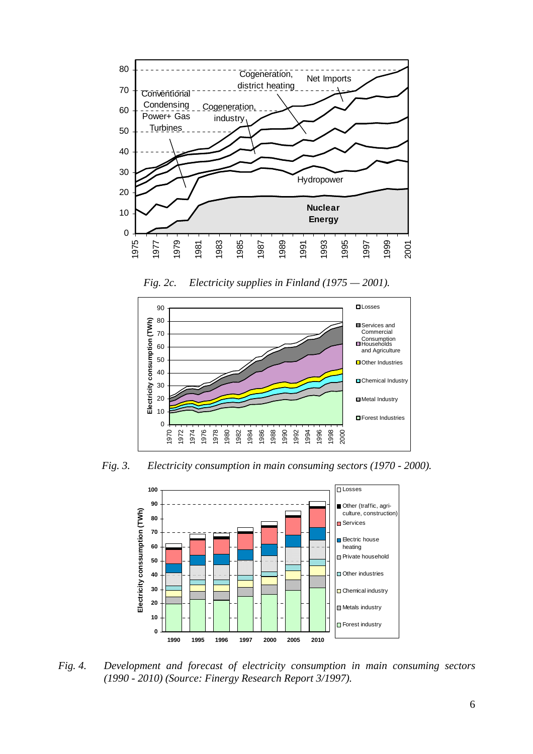



*Fig. 2c. Electricity supplies in Finland (1975 — 2001).* 

*Fig. 3. Electricity consumption in main consuming sectors (1970 - 2000).*



*Fig. 4. Development and forecast of electricity consumption in main consuming sectors (1990 - 2010) (Source: Finergy Research Report 3/1997).*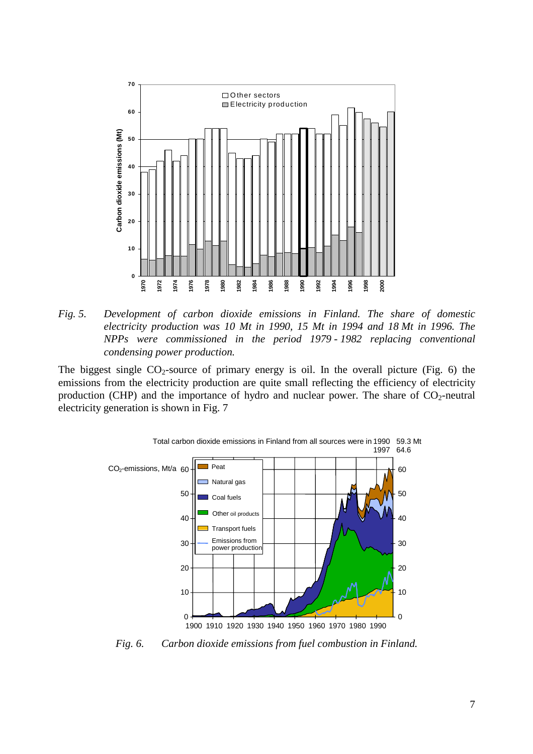

*Fig. 5. Development of carbon dioxide emissions in Finland. The share of domestic electricity production was 10 Mt in 1990, 15 Mt in 1994 and 18 Mt in 1996. The NPPs were commissioned in the period 1979 - 1982 replacing conventional condensing power production.* 

The biggest single  $CO_2$ -source of primary energy is oil. In the overall picture (Fig. 6) the emissions from the electricity production are quite small reflecting the efficiency of electricity production (CHP) and the importance of hydro and nuclear power. The share of  $CO_2$ -neutral electricity generation is shown in Fig. 7



*Fig. 6. Carbon dioxide emissions from fuel combustion in Finland.*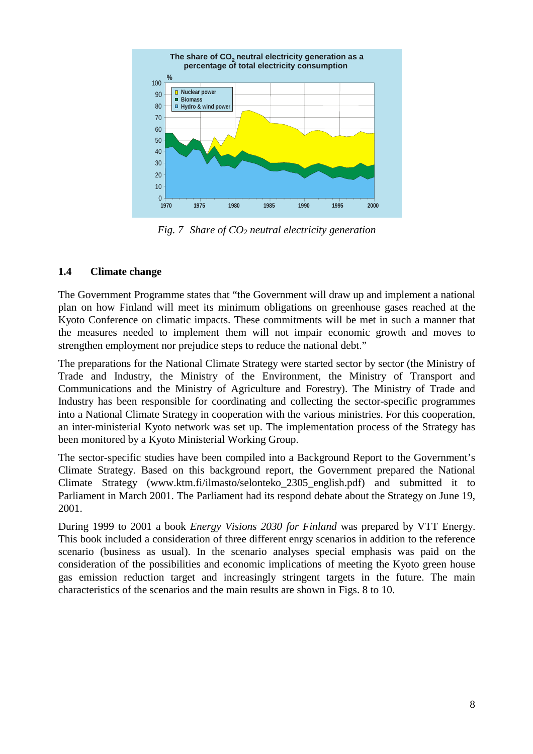

*Fig. 7 Share of CO2 neutral electricity generation* 

## **1.4 Climate change**

The Government Programme states that "the Government will draw up and implement a national plan on how Finland will meet its minimum obligations on greenhouse gases reached at the Kyoto Conference on climatic impacts. These commitments will be met in such a manner that the measures needed to implement them will not impair economic growth and moves to strengthen employment nor prejudice steps to reduce the national debt."

The preparations for the National Climate Strategy were started sector by sector (the Ministry of Trade and Industry, the Ministry of the Environment, the Ministry of Transport and Communications and the Ministry of Agriculture and Forestry). The Ministry of Trade and Industry has been responsible for coordinating and collecting the sector-specific programmes into a National Climate Strategy in cooperation with the various ministries. For this cooperation, an inter-ministerial Kyoto network was set up. The implementation process of the Strategy has been monitored by a Kyoto Ministerial Working Group.

The sector-specific studies have been compiled into a Background Report to the Government's Climate Strategy. Based on this background report, the Government prepared the National Climate Strategy (www.ktm.fi/ilmasto/selonteko\_2305\_english.pdf) and submitted it to Parliament in March 2001. The Parliament had its respond debate about the Strategy on June 19, 2001.

During 1999 to 2001 a book *Energy Visions 2030 for Finland* was prepared by VTT Energy. This book included a consideration of three different enrgy scenarios in addition to the reference scenario (business as usual). In the scenario analyses special emphasis was paid on the consideration of the possibilities and economic implications of meeting the Kyoto green house gas emission reduction target and increasingly stringent targets in the future. The main characteristics of the scenarios and the main results are shown in Figs. 8 to 10.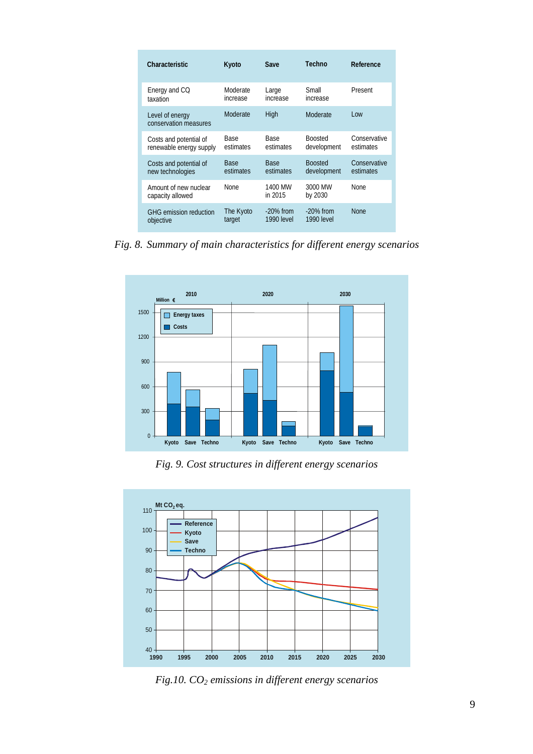| <b>Characteristic</b>                     | Kyoto       | Save               | Techno             | Reference    |
|-------------------------------------------|-------------|--------------------|--------------------|--------------|
| Energy and CQ                             | Moderate    | Large              | Small              | Present      |
| taxation                                  | increase    | increase           | increase           |              |
| Level of energy<br>conservation measures  | Moderate    | High               | Moderate           | Low          |
| Costs and potential of                    | <b>Base</b> | <b>Base</b>        | <b>Boosted</b>     | Conservative |
| renewable energy supply                   | estimates   | estimates          | development        | estimates    |
| Costs and potential of                    | <b>Base</b> | <b>Base</b>        | <b>Boosted</b>     | Conservative |
| new technologies                          | estimates   | estimates          | development        | estimates    |
| Amount of new nuclear<br>capacity allowed | <b>None</b> | 1400 MW<br>in 2015 | 3000 MW<br>by 2030 | <b>None</b>  |
| <b>GHG</b> emission reduction             | The Kyoto   | $-20\%$ from       | $-20\%$ from       | <b>None</b>  |
| objective                                 | target      | 1990 level         | <b>1990</b> level  |              |

*Fig. 8. Summary of main characteristics for different energy scenarios* 



*Fig. 9. Cost structures in different energy scenarios* 



*Fig.10. CO2 emissions in different energy scenarios*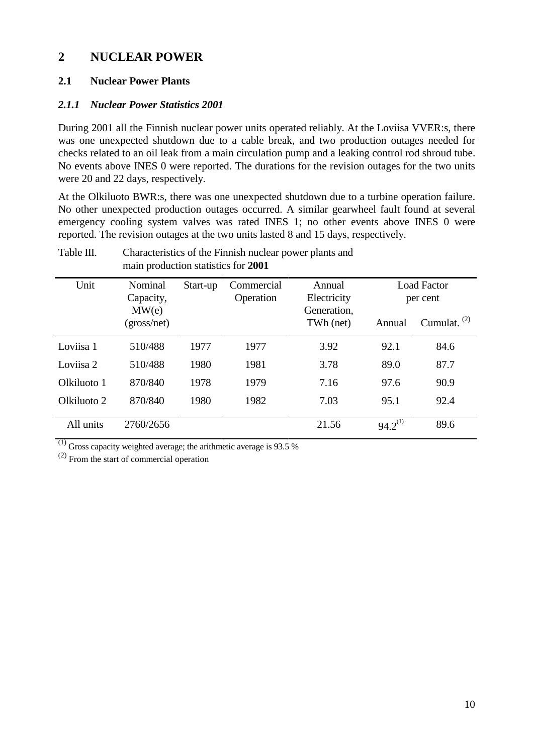# **2 NUCLEAR POWER**

## **2.1 Nuclear Power Plants**

#### *2.1.1 Nuclear Power Statistics 2001*

During 2001 all the Finnish nuclear power units operated reliably. At the Loviisa VVER:s, there was one unexpected shutdown due to a cable break, and two production outages needed for checks related to an oil leak from a main circulation pump and a leaking control rod shroud tube. No events above INES 0 were reported. The durations for the revision outages for the two units were 20 and 22 days, respectively.

At the Olkiluoto BWR:s, there was one unexpected shutdown due to a turbine operation failure. No other unexpected production outages occurred. A similar gearwheel fault found at several emergency cooling system valves was rated INES 1; no other events above INES 0 were reported. The revision outages at the two units lasted 8 and 15 days, respectively.

| Unit        | Nominal<br>Capacity, | Start-up | Commercial<br>Operation | Annual<br>Electricity    | <b>Load Factor</b><br>per cent |                |  |
|-------------|----------------------|----------|-------------------------|--------------------------|--------------------------------|----------------|--|
|             | MW(e)<br>(gross/net) |          |                         | Generation,<br>TWh (net) | Annual                         | Cumulat. $(2)$ |  |
| Loviisa 1   | 510/488              | 1977     | 1977                    | 3.92                     | 92.1                           | 84.6           |  |
| Loviisa 2   | 510/488              | 1980     | 1981                    | 3.78                     | 89.0                           | 87.7           |  |
| Olkiluoto 1 | 870/840              | 1978     | 1979                    | 7.16                     | 97.6                           | 90.9           |  |
| Olkiluoto 2 | 870/840              | 1980     | 1982                    | 7.03                     | 95.1                           | 92.4           |  |
| All units   | 2760/2656            |          |                         | 21.56                    | $94.2^{(1)}$                   | 89.6           |  |

Table III. Characteristics of the Finnish nuclear power plants and main production statistics for **2001**

 $(1)$  Gross capacity weighted average; the arithmetic average is 93.5 %

 $(2)$  From the start of commercial operation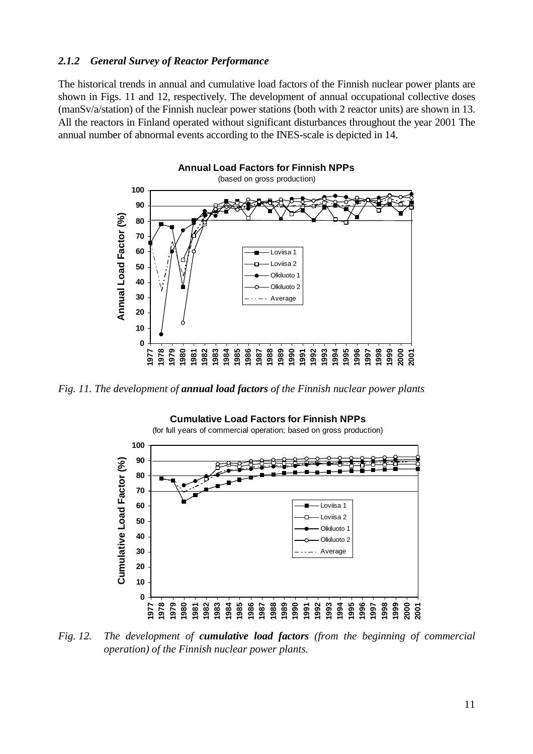#### *2.1.2 General Survey of Reactor Performance*

The historical trends in annual and cumulative load factors of the Finnish nuclear power plants are shown in Figs. 11 and 12, respectively. The development of annual occupational collective doses (manSv/a/station) of the Finnish nuclear power stations (both with 2 reactor units) are shown in 13. All the reactors in Finland operated without significant disturbances throughout the year 2001 The annual number of abnormal events according to the INES-scale is depicted in 14.



*Fig. 11. The development of annual load factors of the Finnish nuclear power plants* 



*Fig. 12. The development of cumulative load factors (from the beginning of commercial operation) of the Finnish nuclear power plants.*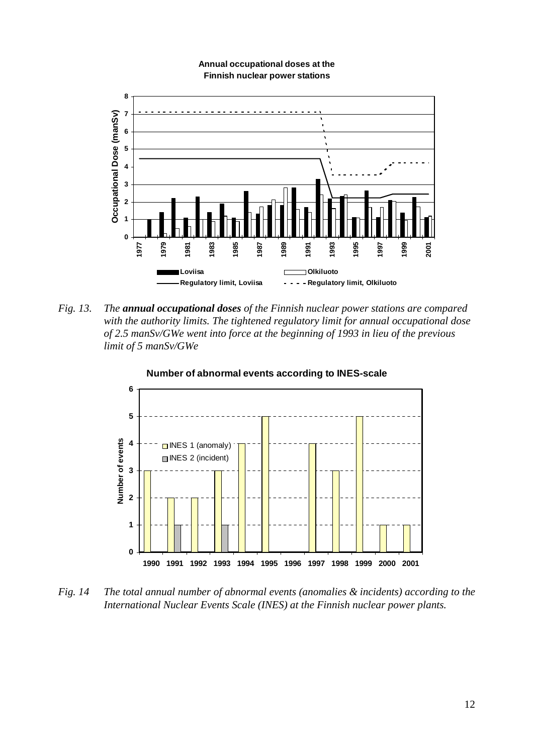

#### **Annual occupational doses at the Finnish nuclear power stations**

*Fig. 13. The annual occupational doses of the Finnish nuclear power stations are compared with the authority limits. The tightened regulatory limit for annual occupational dose of 2.5 manSv/GWe went into force at the beginning of 1993 in lieu of the previous limit of 5 manSv/GWe* 



**Number of abnormal events according to INES-scale**

*Fig. 14 The total annual number of abnormal events (anomalies & incidents) according to the International Nuclear Events Scale (INES) at the Finnish nuclear power plants.*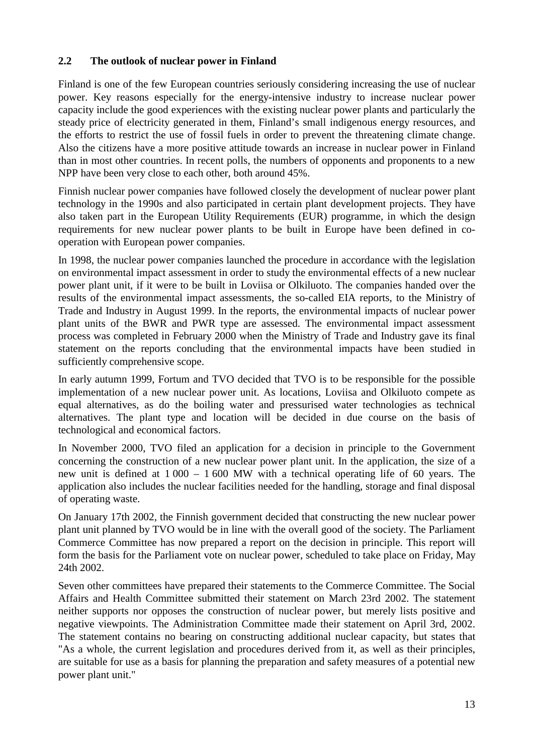### **2.2 The outlook of nuclear power in Finland**

Finland is one of the few European countries seriously considering increasing the use of nuclear power. Key reasons especially for the energy-intensive industry to increase nuclear power capacity include the good experiences with the existing nuclear power plants and particularly the steady price of electricity generated in them, Finland's small indigenous energy resources, and the efforts to restrict the use of fossil fuels in order to prevent the threatening climate change. Also the citizens have a more positive attitude towards an increase in nuclear power in Finland than in most other countries. In recent polls, the numbers of opponents and proponents to a new NPP have been very close to each other, both around 45%.

Finnish nuclear power companies have followed closely the development of nuclear power plant technology in the 1990s and also participated in certain plant development projects. They have also taken part in the European Utility Requirements (EUR) programme, in which the design requirements for new nuclear power plants to be built in Europe have been defined in cooperation with European power companies.

In 1998, the nuclear power companies launched the procedure in accordance with the legislation on environmental impact assessment in order to study the environmental effects of a new nuclear power plant unit, if it were to be built in Loviisa or Olkiluoto. The companies handed over the results of the environmental impact assessments, the so-called EIA reports, to the Ministry of Trade and Industry in August 1999. In the reports, the environmental impacts of nuclear power plant units of the BWR and PWR type are assessed. The environmental impact assessment process was completed in February 2000 when the Ministry of Trade and Industry gave its final statement on the reports concluding that the environmental impacts have been studied in sufficiently comprehensive scope.

In early autumn 1999, Fortum and TVO decided that TVO is to be responsible for the possible implementation of a new nuclear power unit. As locations, Loviisa and Olkiluoto compete as equal alternatives, as do the boiling water and pressurised water technologies as technical alternatives. The plant type and location will be decided in due course on the basis of technological and economical factors.

In November 2000, TVO filed an application for a decision in principle to the Government concerning the construction of a new nuclear power plant unit. In the application, the size of a new unit is defined at 1 000 – 1 600 MW with a technical operating life of 60 years. The application also includes the nuclear facilities needed for the handling, storage and final disposal of operating waste.

On January 17th 2002, the Finnish government decided that constructing the new nuclear power plant unit planned by TVO would be in line with the overall good of the society. The Parliament Commerce Committee has now prepared a report on the decision in principle. This report will form the basis for the Parliament vote on nuclear power, scheduled to take place on Friday, May 24th 2002.

Seven other committees have prepared their statements to the Commerce Committee. The Social Affairs and Health Committee submitted their statement on March 23rd 2002. The statement neither supports nor opposes the construction of nuclear power, but merely lists positive and negative viewpoints. The Administration Committee made their statement on April 3rd, 2002. The statement contains no bearing on constructing additional nuclear capacity, but states that "As a whole, the current legislation and procedures derived from it, as well as their principles, are suitable for use as a basis for planning the preparation and safety measures of a potential new power plant unit."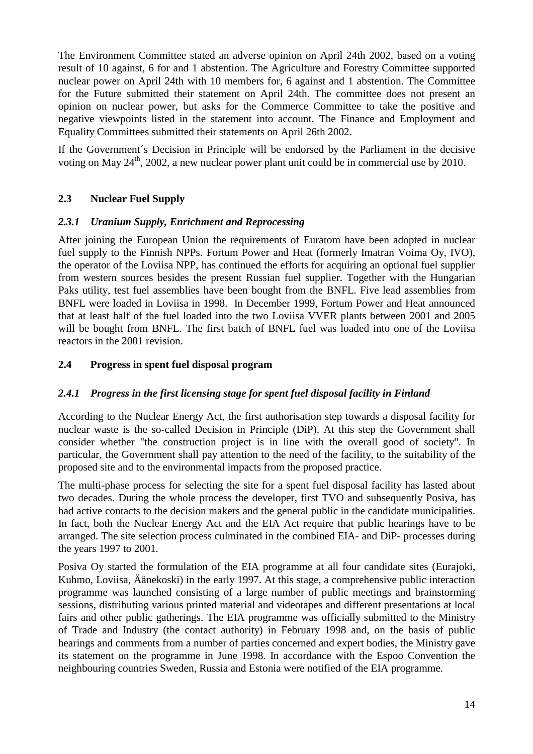The Environment Committee stated an adverse opinion on April 24th 2002, based on a voting result of 10 against, 6 for and 1 abstention. The Agriculture and Forestry Committee supported nuclear power on April 24th with 10 members for, 6 against and 1 abstention. The Committee for the Future submitted their statement on April 24th. The committee does not present an opinion on nuclear power, but asks for the Commerce Committee to take the positive and negative viewpoints listed in the statement into account. The Finance and Employment and Equality Committees submitted their statements on April 26th 2002.

If the Government´s Decision in Principle will be endorsed by the Parliament in the decisive voting on May  $24<sup>th</sup>$ , 2002, a new nuclear power plant unit could be in commercial use by 2010.

## **2.3 Nuclear Fuel Supply**

#### *2.3.1 Uranium Supply, Enrichment and Reprocessing*

After joining the European Union the requirements of Euratom have been adopted in nuclear fuel supply to the Finnish NPPs. Fortum Power and Heat (formerly Imatran Voima Oy, IVO), the operator of the Loviisa NPP, has continued the efforts for acquiring an optional fuel supplier from western sources besides the present Russian fuel supplier. Together with the Hungarian Paks utility, test fuel assemblies have been bought from the BNFL. Five lead assemblies from BNFL were loaded in Loviisa in 1998. In December 1999, Fortum Power and Heat announced that at least half of the fuel loaded into the two Loviisa VVER plants between 2001 and 2005 will be bought from BNFL. The first batch of BNFL fuel was loaded into one of the Loviisa reactors in the 2001 revision.

#### **2.4 Progress in spent fuel disposal program**

#### *2.4.1 Progress in the first licensing stage for spent fuel disposal facility in Finland*

According to the Nuclear Energy Act, the first authorisation step towards a disposal facility for nuclear waste is the so-called Decision in Principle (DiP). At this step the Government shall consider whether "the construction project is in line with the overall good of society". In particular, the Government shall pay attention to the need of the facility, to the suitability of the proposed site and to the environmental impacts from the proposed practice.

The multi-phase process for selecting the site for a spent fuel disposal facility has lasted about two decades. During the whole process the developer, first TVO and subsequently Posiva, has had active contacts to the decision makers and the general public in the candidate municipalities. In fact, both the Nuclear Energy Act and the EIA Act require that public hearings have to be arranged. The site selection process culminated in the combined EIA- and DiP- processes during the years 1997 to 2001.

Posiva Oy started the formulation of the EIA programme at all four candidate sites (Eurajoki, Kuhmo, Loviisa, Äänekoski) in the early 1997. At this stage, a comprehensive public interaction programme was launched consisting of a large number of public meetings and brainstorming sessions, distributing various printed material and videotapes and different presentations at local fairs and other public gatherings. The EIA programme was officially submitted to the Ministry of Trade and Industry (the contact authority) in February 1998 and, on the basis of public hearings and comments from a number of parties concerned and expert bodies, the Ministry gave its statement on the programme in June 1998. In accordance with the Espoo Convention the neighbouring countries Sweden, Russia and Estonia were notified of the EIA programme.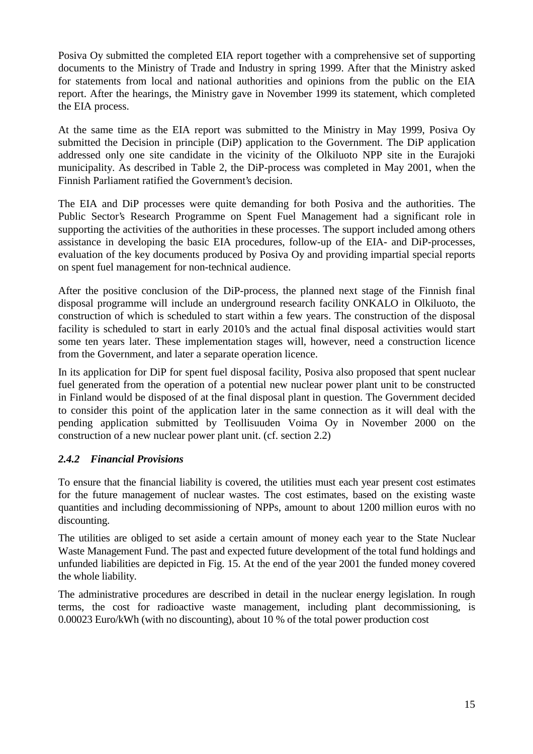Posiva Oy submitted the completed EIA report together with a comprehensive set of supporting documents to the Ministry of Trade and Industry in spring 1999. After that the Ministry asked for statements from local and national authorities and opinions from the public on the EIA report. After the hearings, the Ministry gave in November 1999 its statement, which completed the EIA process.

At the same time as the EIA report was submitted to the Ministry in May 1999, Posiva Oy submitted the Decision in principle (DiP) application to the Government. The DiP application addressed only one site candidate in the vicinity of the Olkiluoto NPP site in the Eurajoki municipality. As described in Table 2, the DiP-process was completed in May 2001, when the Finnish Parliament ratified the Government's decision.

The EIA and DiP processes were quite demanding for both Posiva and the authorities. The Public Sector's Research Programme on Spent Fuel Management had a significant role in supporting the activities of the authorities in these processes. The support included among others assistance in developing the basic EIA procedures, follow-up of the EIA- and DiP-processes, evaluation of the key documents produced by Posiva Oy and providing impartial special reports on spent fuel management for non-technical audience.

After the positive conclusion of the DiP-process, the planned next stage of the Finnish final disposal programme will include an underground research facility ONKALO in Olkiluoto, the construction of which is scheduled to start within a few years. The construction of the disposal facility is scheduled to start in early 2010's and the actual final disposal activities would start some ten years later. These implementation stages will, however, need a construction licence from the Government, and later a separate operation licence.

In its application for DiP for spent fuel disposal facility, Posiva also proposed that spent nuclear fuel generated from the operation of a potential new nuclear power plant unit to be constructed in Finland would be disposed of at the final disposal plant in question. The Government decided to consider this point of the application later in the same connection as it will deal with the pending application submitted by Teollisuuden Voima Oy in November 2000 on the construction of a new nuclear power plant unit. (cf. section 2.2)

#### *2.4.2 Financial Provisions*

To ensure that the financial liability is covered, the utilities must each year present cost estimates for the future management of nuclear wastes. The cost estimates, based on the existing waste quantities and including decommissioning of NPPs, amount to about 1200 million euros with no discounting.

The utilities are obliged to set aside a certain amount of money each year to the State Nuclear Waste Management Fund. The past and expected future development of the total fund holdings and unfunded liabilities are depicted in Fig. 15. At the end of the year 2001 the funded money covered the whole liability.

The administrative procedures are described in detail in the nuclear energy legislation. In rough terms, the cost for radioactive waste management, including plant decommissioning, is 0.00023 Euro/kWh (with no discounting), about 10 % of the total power production cost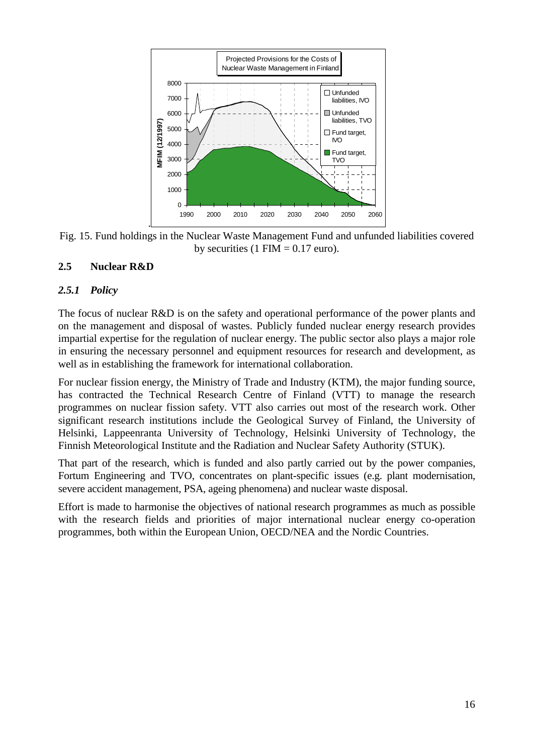

Fig. 15. Fund holdings in the Nuclear Waste Management Fund and unfunded liabilities covered by securities (1 FIM  $= 0.17$  euro).

## **2.5 Nuclear R&D**

#### *2.5.1 Policy*

The focus of nuclear R&D is on the safety and operational performance of the power plants and on the management and disposal of wastes. Publicly funded nuclear energy research provides impartial expertise for the regulation of nuclear energy. The public sector also plays a major role in ensuring the necessary personnel and equipment resources for research and development, as well as in establishing the framework for international collaboration.

For nuclear fission energy, the Ministry of Trade and Industry (KTM), the major funding source, has contracted the Technical Research Centre of Finland (VTT) to manage the research programmes on nuclear fission safety. VTT also carries out most of the research work. Other significant research institutions include the Geological Survey of Finland, the University of Helsinki, Lappeenranta University of Technology, Helsinki University of Technology, the Finnish Meteorological Institute and the Radiation and Nuclear Safety Authority (STUK).

That part of the research, which is funded and also partly carried out by the power companies, Fortum Engineering and TVO, concentrates on plant-specific issues (e.g. plant modernisation, severe accident management, PSA, ageing phenomena) and nuclear waste disposal.

Effort is made to harmonise the objectives of national research programmes as much as possible with the research fields and priorities of major international nuclear energy co-operation programmes, both within the European Union, OECD/NEA and the Nordic Countries.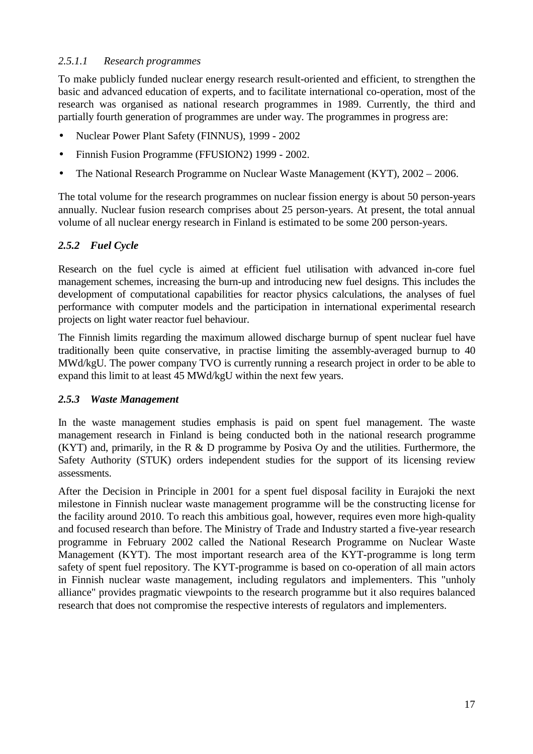## *2.5.1.1 Research programmes*

To make publicly funded nuclear energy research result-oriented and efficient, to strengthen the basic and advanced education of experts, and to facilitate international co-operation, most of the research was organised as national research programmes in 1989. Currently, the third and partially fourth generation of programmes are under way. The programmes in progress are:

- Nuclear Power Plant Safety (FINNUS), 1999 2002
- Finnish Fusion Programme (FFUSION2) 1999 2002.
- The National Research Programme on Nuclear Waste Management (KYT), 2002 2006.

The total volume for the research programmes on nuclear fission energy is about 50 person-years annually. Nuclear fusion research comprises about 25 person-years. At present, the total annual volume of all nuclear energy research in Finland is estimated to be some 200 person-years.

# *2.5.2 Fuel Cycle*

Research on the fuel cycle is aimed at efficient fuel utilisation with advanced in-core fuel management schemes, increasing the burn-up and introducing new fuel designs. This includes the development of computational capabilities for reactor physics calculations, the analyses of fuel performance with computer models and the participation in international experimental research projects on light water reactor fuel behaviour.

The Finnish limits regarding the maximum allowed discharge burnup of spent nuclear fuel have traditionally been quite conservative, in practise limiting the assembly-averaged burnup to 40 MWd/kgU. The power company TVO is currently running a research project in order to be able to expand this limit to at least 45 MWd/kgU within the next few years.

#### *2.5.3 Waste Management*

In the waste management studies emphasis is paid on spent fuel management. The waste management research in Finland is being conducted both in the national research programme (KYT) and, primarily, in the R  $\&$  D programme by Posiva Oy and the utilities. Furthermore, the Safety Authority (STUK) orders independent studies for the support of its licensing review assessments.

After the Decision in Principle in 2001 for a spent fuel disposal facility in Eurajoki the next milestone in Finnish nuclear waste management programme will be the constructing license for the facility around 2010. To reach this ambitious goal, however, requires even more high-quality and focused research than before. The Ministry of Trade and Industry started a five-year research programme in February 2002 called the National Research Programme on Nuclear Waste Management (KYT). The most important research area of the KYT-programme is long term safety of spent fuel repository. The KYT-programme is based on co-operation of all main actors in Finnish nuclear waste management, including regulators and implementers. This "unholy alliance" provides pragmatic viewpoints to the research programme but it also requires balanced research that does not compromise the respective interests of regulators and implementers.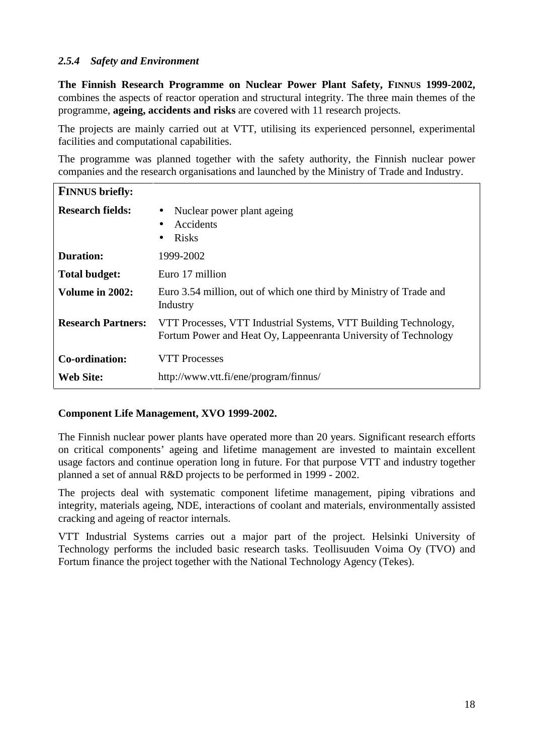#### *2.5.4 Safety and Environment*

**The Finnish Research Programme on Nuclear Power Plant Safety, FINNUS 1999-2002,** combines the aspects of reactor operation and structural integrity. The three main themes of the programme, **ageing, accidents and risks** are covered with 11 research projects.

The projects are mainly carried out at VTT, utilising its experienced personnel, experimental facilities and computational capabilities.

The programme was planned together with the safety authority, the Finnish nuclear power companies and the research organisations and launched by the Ministry of Trade and Industry.

| <b>FINNUS</b> briefly:      |                                                                                                                                    |
|-----------------------------|------------------------------------------------------------------------------------------------------------------------------------|
| <b>Research fields:</b>     | Nuclear power plant ageing<br>$\bullet$<br>Accidents<br>$\bullet$<br><b>Risks</b><br>$\bullet$                                     |
| <b>Duration:</b>            | 1999-2002                                                                                                                          |
| <b>Total budget:</b>        | Euro 17 million                                                                                                                    |
| Volume in 2002:             | Euro 3.54 million, out of which one third by Ministry of Trade and<br>Industry                                                     |
| <b>Research Partners:</b>   | VTT Processes, VTT Industrial Systems, VTT Building Technology,<br>Fortum Power and Heat Oy, Lappeenranta University of Technology |
| Co-ordination:<br>Web Site: | <b>VTT Processes</b><br>http://www.vtt.fi/ene/program/finnus/                                                                      |

#### **Component Life Management, XVO 1999-2002.**

The Finnish nuclear power plants have operated more than 20 years. Significant research efforts on critical components' ageing and lifetime management are invested to maintain excellent usage factors and continue operation long in future. For that purpose VTT and industry together planned a set of annual R&D projects to be performed in 1999 - 2002.

The projects deal with systematic component lifetime management, piping vibrations and integrity, materials ageing, NDE, interactions of coolant and materials, environmentally assisted cracking and ageing of reactor internals.

VTT Industrial Systems carries out a major part of the project. Helsinki University of Technology performs the included basic research tasks. Teollisuuden Voima Oy (TVO) and Fortum finance the project together with the National Technology Agency (Tekes).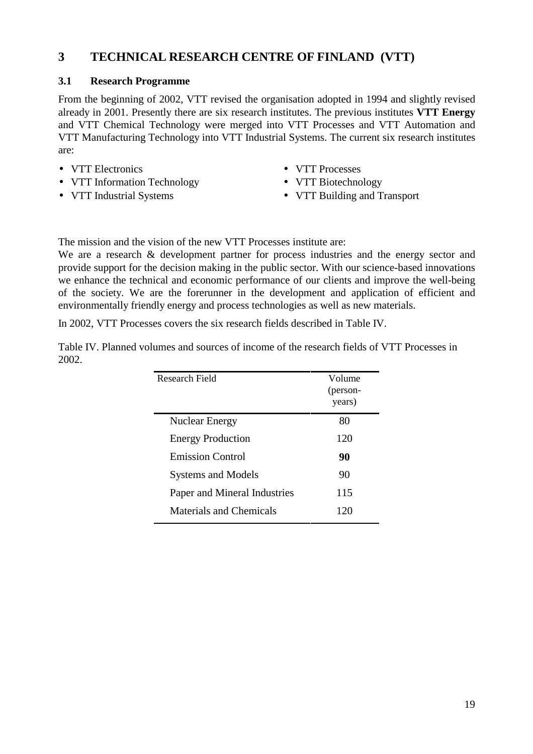# **3 TECHNICAL RESEARCH CENTRE OF FINLAND (VTT)**

#### **3.1 Research Programme**

From the beginning of 2002, VTT revised the organisation adopted in 1994 and slightly revised already in 2001. Presently there are six research institutes. The previous institutes **VTT Energy** and VTT Chemical Technology were merged into VTT Processes and VTT Automation and VTT Manufacturing Technology into VTT Industrial Systems. The current six research institutes are:

- VTT Electronics
- VTT Information Technology
- VTT Industrial Systems
- VTT Processes
- VTT Biotechnology
- VTT Building and Transport

The mission and the vision of the new VTT Processes institute are:

We are a research & development partner for process industries and the energy sector and provide support for the decision making in the public sector. With our science-based innovations we enhance the technical and economic performance of our clients and improve the well-being of the society. We are the forerunner in the development and application of efficient and environmentally friendly energy and process technologies as well as new materials.

In 2002, VTT Processes covers the six research fields described in Table IV.

Table IV. Planned volumes and sources of income of the research fields of VTT Processes in 2002.

| Research Field                 | Volume<br>(person-<br>years) |
|--------------------------------|------------------------------|
| <b>Nuclear Energy</b>          | 80                           |
| <b>Energy Production</b>       | 120                          |
| <b>Emission Control</b>        | 90                           |
| <b>Systems and Models</b>      | 90                           |
| Paper and Mineral Industries   | 115                          |
| <b>Materials and Chemicals</b> | 120                          |